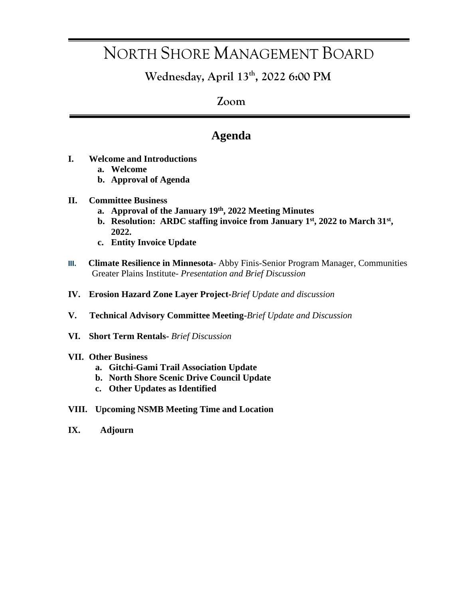# NORTH SHORE MANAGEMENT BOARD

**Wednesday, April 13th, 2022 6:00 PM**

### **Zoom**

### **Agenda**

- **I. Welcome and Introductions**
	- **a. Welcome**
	- **b. Approval of Agenda**
- **II. Committee Business** 
	- **a. Approval of the January 19th, 2022 Meeting Minutes**
	- **b.** Resolution: ARDC staffing invoice from January 1<sup>st</sup>, 2022 to March 31<sup>st</sup>, **2022.**
	- **c. Entity Invoice Update**
- **III. Climate Resilience in Minnesota** Abby Finis-Senior Program Manager, Communities Greater Plains Institute*- Presentation and Brief Discussion*
- **IV. Erosion Hazard Zone Layer Project-***Brief Update and discussion*
- **V. Technical Advisory Committee Meeting-***Brief Update and Discussion*
- **VI. Short Term Rentals-** *Brief Discussion*

#### **VII. Other Business**

- **a. Gitchi-Gami Trail Association Update**
- **b. North Shore Scenic Drive Council Update**
- **c. Other Updates as Identified**
- **VIII. Upcoming NSMB Meeting Time and Location**
- **IX. Adjourn**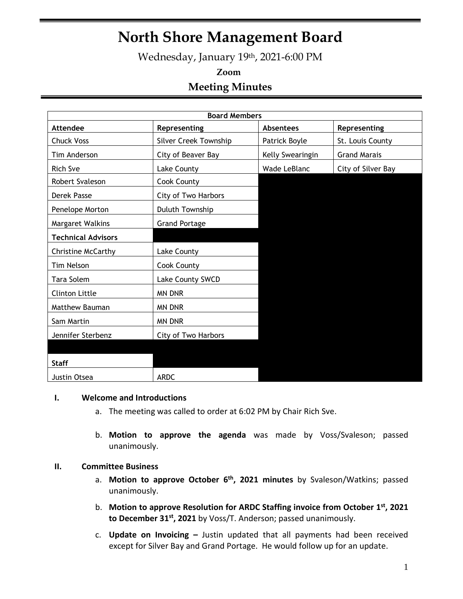## **North Shore Management Board**

Wednesday, January 19th, 2021-6:00 PM

## **Zoom Meeting Minutes**

| <b>Board Members</b>      |                       |                  |                     |  |  |  |
|---------------------------|-----------------------|------------------|---------------------|--|--|--|
| <b>Attendee</b>           | Representing          | <b>Absentees</b> | Representing        |  |  |  |
| <b>Chuck Voss</b>         | Silver Creek Township | Patrick Boyle    | St. Louis County    |  |  |  |
| Tim Anderson              | City of Beaver Bay    | Kelly Swearingin | <b>Grand Marais</b> |  |  |  |
| <b>Rich Sve</b>           | Lake County           | Wade LeBlanc     | City of Silver Bay  |  |  |  |
| Robert Svaleson           | Cook County           |                  |                     |  |  |  |
| Derek Passe               | City of Two Harbors   |                  |                     |  |  |  |
| Penelope Morton           | Duluth Township       |                  |                     |  |  |  |
| Margaret Walkins          | <b>Grand Portage</b>  |                  |                     |  |  |  |
| <b>Technical Advisors</b> |                       |                  |                     |  |  |  |
| <b>Christine McCarthy</b> | Lake County           |                  |                     |  |  |  |
| Tim Nelson                | Cook County           |                  |                     |  |  |  |
| Tara Solem                | Lake County SWCD      |                  |                     |  |  |  |
| Clinton Little            | <b>MN DNR</b>         |                  |                     |  |  |  |
| Matthew Bauman            | <b>MN DNR</b>         |                  |                     |  |  |  |
| Sam Martin                | <b>MN DNR</b>         |                  |                     |  |  |  |
| Jennifer Sterbenz         | City of Two Harbors   |                  |                     |  |  |  |
|                           |                       |                  |                     |  |  |  |
| <b>Staff</b>              |                       |                  |                     |  |  |  |
| Justin Otsea              | <b>ARDC</b>           |                  |                     |  |  |  |

#### **I. Welcome and Introductions**

- a. The meeting was called to order at 6:02 PM by Chair Rich Sve.
- b. **Motion to approve the agenda** was made by Voss/Svaleson; passed unanimously.

#### **II. Committee Business**

- a. **Motion to approve October 6th , 2021 minutes** by Svaleson/Watkins; passed unanimously.
- b. **Motion to approve Resolution for ARDC Staffing invoice from October 1 st, 2021 to December 31 st, 2021** by Voss/T. Anderson; passed unanimously.
- c. **Update on Invoicing –** Justin updated that all payments had been received except for Silver Bay and Grand Portage. He would follow up for an update.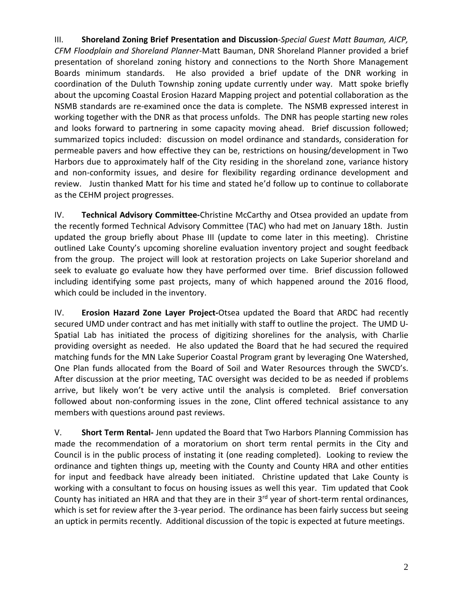III. **Shoreland Zoning Brief Presentation and Discussion***-Special Guest Matt Bauman, AICP, CFM Floodplain and Shoreland Planner-*Matt Bauman, DNR Shoreland Planner provided a brief presentation of shoreland zoning history and connections to the North Shore Management Boards minimum standards. He also provided a brief update of the DNR working in coordination of the Duluth Township zoning update currently under way. Matt spoke briefly about the upcoming Coastal Erosion Hazard Mapping project and potential collaboration as the NSMB standards are re-examined once the data is complete. The NSMB expressed interest in working together with the DNR as that process unfolds. The DNR has people starting new roles and looks forward to partnering in some capacity moving ahead. Brief discussion followed; summarized topics included: discussion on model ordinance and standards, consideration for permeable pavers and how effective they can be, restrictions on housing/development in Two Harbors due to approximately half of the City residing in the shoreland zone, variance history and non-conformity issues, and desire for flexibility regarding ordinance development and review. Justin thanked Matt for his time and stated he'd follow up to continue to collaborate as the CEHM project progresses.

IV. **Technical Advisory Committee-**Christine McCarthy and Otsea provided an update from the recently formed Technical Advisory Committee (TAC) who had met on January 18th. Justin updated the group briefly about Phase III (update to come later in this meeting). Christine outlined Lake County's upcoming shoreline evaluation inventory project and sought feedback from the group. The project will look at restoration projects on Lake Superior shoreland and seek to evaluate go evaluate how they have performed over time. Brief discussion followed including identifying some past projects, many of which happened around the 2016 flood, which could be included in the inventory.

IV. **Erosion Hazard Zone Layer Project-**Otsea updated the Board that ARDC had recently secured UMD under contract and has met initially with staff to outline the project. The UMD U-Spatial Lab has initiated the process of digitizing shorelines for the analysis, with Charlie providing oversight as needed. He also updated the Board that he had secured the required matching funds for the MN Lake Superior Coastal Program grant by leveraging One Watershed, One Plan funds allocated from the Board of Soil and Water Resources through the SWCD's. After discussion at the prior meeting, TAC oversight was decided to be as needed if problems arrive, but likely won't be very active until the analysis is completed. Brief conversation followed about non-conforming issues in the zone, Clint offered technical assistance to any members with questions around past reviews.

V. **Short Term Rental-** Jenn updated the Board that Two Harbors Planning Commission has made the recommendation of a moratorium on short term rental permits in the City and Council is in the public process of instating it (one reading completed). Looking to review the ordinance and tighten things up, meeting with the County and County HRA and other entities for input and feedback have already been initiated. Christine updated that Lake County is working with a consultant to focus on housing issues as well this year. Tim updated that Cook County has initiated an HRA and that they are in their 3<sup>rd</sup> year of short-term rental ordinances, which is set for review after the 3-year period. The ordinance has been fairly success but seeing an uptick in permits recently. Additional discussion of the topic is expected at future meetings.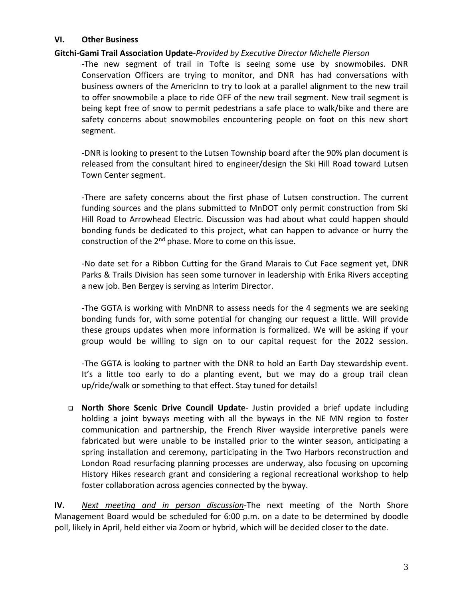#### **VI. Other Business**

#### **Gitchi-Gami Trail Association Update-***Provided by Executive Director Michelle Pierson*

-The new segment of trail in Tofte is seeing some use by snowmobiles. DNR Conservation Officers are trying to monitor, and DNR has had conversations with business owners of the AmericInn to try to look at a parallel alignment to the new trail to offer snowmobile a place to ride OFF of the new trail segment. New trail segment is being kept free of snow to permit pedestrians a safe place to walk/bike and there are safety concerns about snowmobiles encountering people on foot on this new short segment.

-DNR is looking to present to the Lutsen Township board after the 90% plan document is released from the consultant hired to engineer/design the Ski Hill Road toward Lutsen Town Center segment.

-There are safety concerns about the first phase of Lutsen construction. The current funding sources and the plans submitted to MnDOT only permit construction from Ski Hill Road to Arrowhead Electric. Discussion was had about what could happen should bonding funds be dedicated to this project, what can happen to advance or hurry the construction of the 2<sup>nd</sup> phase. More to come on this issue.

-No date set for a Ribbon Cutting for the Grand Marais to Cut Face segment yet, DNR Parks & Trails Division has seen some turnover in leadership with Erika Rivers accepting a new job. Ben Bergey is serving as Interim Director.

-The GGTA is working with MnDNR to assess needs for the 4 segments we are seeking bonding funds for, with some potential for changing our request a little. Will provide these groups updates when more information is formalized. We will be asking if your group would be willing to sign on to our capital request for the 2022 session.

-The GGTA is looking to partner with the DNR to hold an Earth Day stewardship event. It's a little too early to do a planting event, but we may do a group trail clean up/ride/walk or something to that effect. Stay tuned for details!

❑ **North Shore Scenic Drive Council Update**- Justin provided a brief update including holding a joint byways meeting with all the byways in the NE MN region to foster communication and partnership, the French River wayside interpretive panels were fabricated but were unable to be installed prior to the winter season, anticipating a spring installation and ceremony, participating in the Two Harbors reconstruction and London Road resurfacing planning processes are underway, also focusing on upcoming History Hikes research grant and considering a regional recreational workshop to help foster collaboration across agencies connected by the byway.

**IV.** *Next meeting and in person discussion-*The next meeting of the North Shore Management Board would be scheduled for 6:00 p.m. on a date to be determined by doodle poll, likely in April, held either via Zoom or hybrid, which will be decided closer to the date.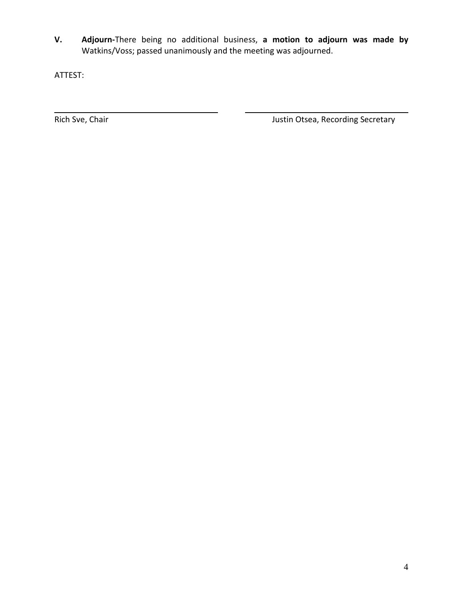**V. Adjourn-**There being no additional business, **a motion to adjourn was made by** Watkins/Voss; passed unanimously and the meeting was adjourned.

ATTEST:

Rich Sve, Chair **Nich Sve, Chair** Justin Otsea, Recording Secretary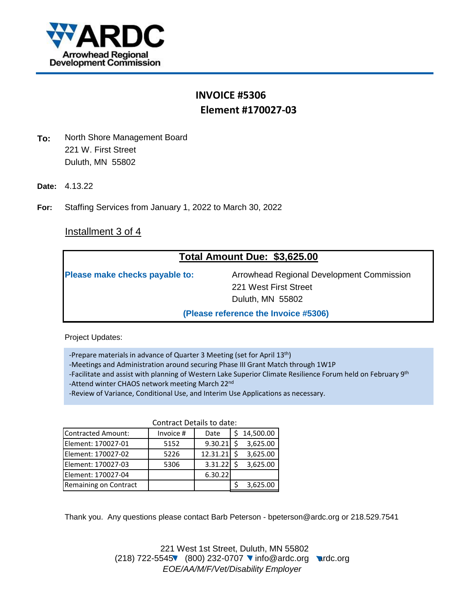

## **INVOICE #5306 Element #170027-03**

- **To:** North Shore Management Board 221 W. First Street Duluth, MN 55802
- **Date:** 4.13.22
- **For:** Staffing Services from January 1, 2022 to March 30, 2022

### Installment 3 of 4

| Total Amount Due: \$3,625.00   |                                                                    |  |  |  |  |
|--------------------------------|--------------------------------------------------------------------|--|--|--|--|
| Please make checks payable to: | Arrowhead Regional Development Commission<br>221 West First Street |  |  |  |  |
|                                | Duluth, MN 55802                                                   |  |  |  |  |
|                                | (Please reference the Invoice #5306)                               |  |  |  |  |

Project Updates:

- -Prepare materials in advance of Quarter 3 Meeting (set for April 13<sup>th</sup>)
- -Meetings and Administration around securing Phase III Grant Match through 1W1P
- -Facilitate and assist with planning of Western Lake Superior Climate Resilience Forum held on February 9th
- -Attend winter CHAOS network meeting March 22<sup>nd</sup>
- -Review of Variance, Conditional Use, and Interim Use Applications as necessary.

|                       | <b>Contract Details to date:</b> |              |  |           |  |
|-----------------------|----------------------------------|--------------|--|-----------|--|
| Contracted Amount:    | Invoice #                        | Date         |  | 14,500.00 |  |
| Element: 170027-01    | 5152                             | $9.30.21$ \$ |  | 3,625.00  |  |
| Element: 170027-02    | 5226                             | 12.31.21     |  | 3,625.00  |  |
| Element: 170027-03    | 5306                             | 3.31.22      |  | 3,625.00  |  |
| Element: 170027-04    |                                  | 6.30.22      |  |           |  |
| Remaining on Contract |                                  |              |  | 3,625.00  |  |

Thank you. Any questions please contact Barb Peterson - bpeterson@ardc.org or 218.529.7541

221 West 1st Street, Duluth, MN 55802 (218) 722-5545 (800) 232-0707 • info@ardc.org ardc.org *EOE/AA/M/F/Vet/Disability Employer*